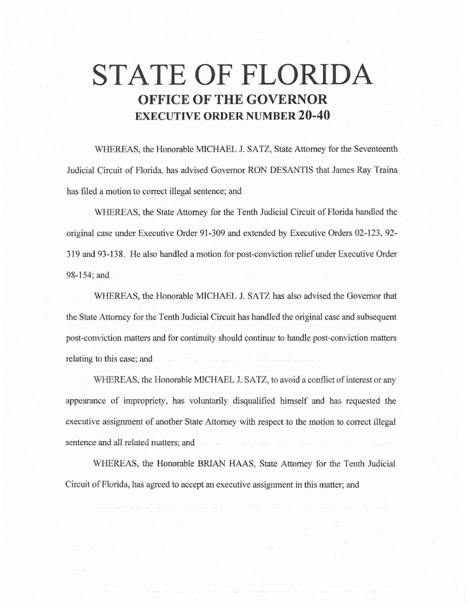## **STATE OF FLORIDA OFFICE OF THE GOVERNOR EXECUTIVE ORDER NUMBER 20-40**

WHEREAS, the Honorable MICHAEL J. SATZ, State Attorney for the Seventeenth Judicial Circuit of Florida, has advised Governor RON DESANTIS that James Ray Traina has filed a motion to correct illegal sentence; and

WHEREAS, the State Attorney for the Tenth Judicial Circuit of Florida handled the original case under Executive Order 91-309 and extended by Executive Orders 02-123, 92- 319 and 93-138. He also handled a motion for post-conviction relief under Executive Order 98-154; and

WHEREAS, the Honorable MICHAEL J. SATZ has also advised the Governor that the State Attorney for the Tenth Judicial Circuit has handled the original case and subsequent post-conviction matters and for continuity should continue to handle post-conviction matters relating to this case; and

WHEREAS, the Honorable MICHAEL J. SATZ, to avoid a conflict of interest or any appearance of impropriety, has voluntarily disqualified himself and has requested the executive assignment of another State Attorney with respect to the motion to correct illegal sentence and all related matters; and

WHEREAS, the Honorable BRIAN HAAS, State Attorney for the Tenth Judicial Circuit of Florida, has agreed to accept an executive assignment in this matter; and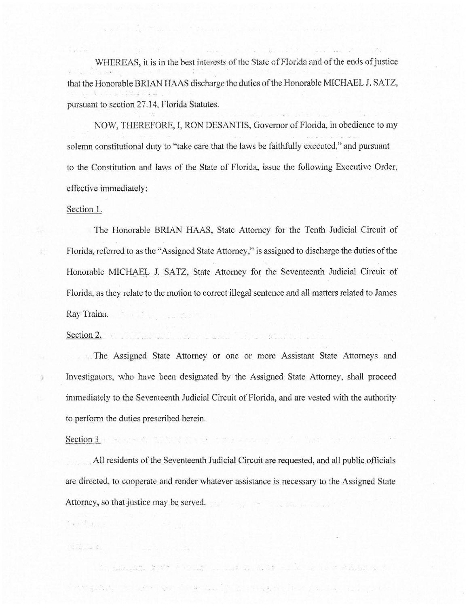WHEREAS, it is in the best interests of the State of Florida and of the ends of justice that the Honorable BRIAN HAAS discharge the duties of the Honorable MICHAEL J. SATZ, pursuant to section 27.14, Florida Statutes.

THE SALE REPORT OF STREET

NOW, THEREFORE, I, RON DESANTIS, Governor of Florida, in obedience to my solemn constitutional duty to "take care that the laws be faithfully executed," and pursuant to the Constitution and laws of the State of Florida, issue the following Executive Order, effective immediately:

## Section I.

The Honorable BRIAN HAAS, State Attorney for the Tenth Judicial Circuit of Florida, referred to as the "Assigned State Attorney," is assigned to discharge the duties of the Honorable MICHAEL J. SATZ, State Attorney for the Seventeenth Judicial Circuit of Florida, as they relate to the motion to correct illegal sentence and all matters related to James Ray Traina.

## Section 2.

ä

**• The Assigned State Attorney or one or more Assistant State Attorneys and** Investigators, who have been designated by the Assigned State Attorney, shall proceed immediately to the Seventeenth Judicial Circuit of Florida, and are vested with the authority to perform the duties prescribed herein.

## Section 3. The section  $3$  . The section  $3$  , and  $3$  . Section  $3$  , and  $3$  . Section  $3$  , and  $3$  ,  $3$  ,  $3$  ,  $3$  ,  $3$  ,  $3$  ,  $3$  ,  $3$  ,  $3$  ,  $3$  ,  $3$  ,  $3$  ,  $3$  ,  $3$  ,  $3$  ,  $3$  ,  $3$  ,  $3$  ,  $3$  ,  $3$  ,  $3$

Teach Bay and L

All residents of the Seventeenth Judicial Circuit are requested, and all public officials are directed, to cooperate and render whatever assistance is necessary to the Assigned State Attorney, so that justice may be served.

a production and the production of the state of the state of the state of the

in the set of the second complete the second contract of the second contract of the second second contract of the second second second second second second second second second second second second second second second sec